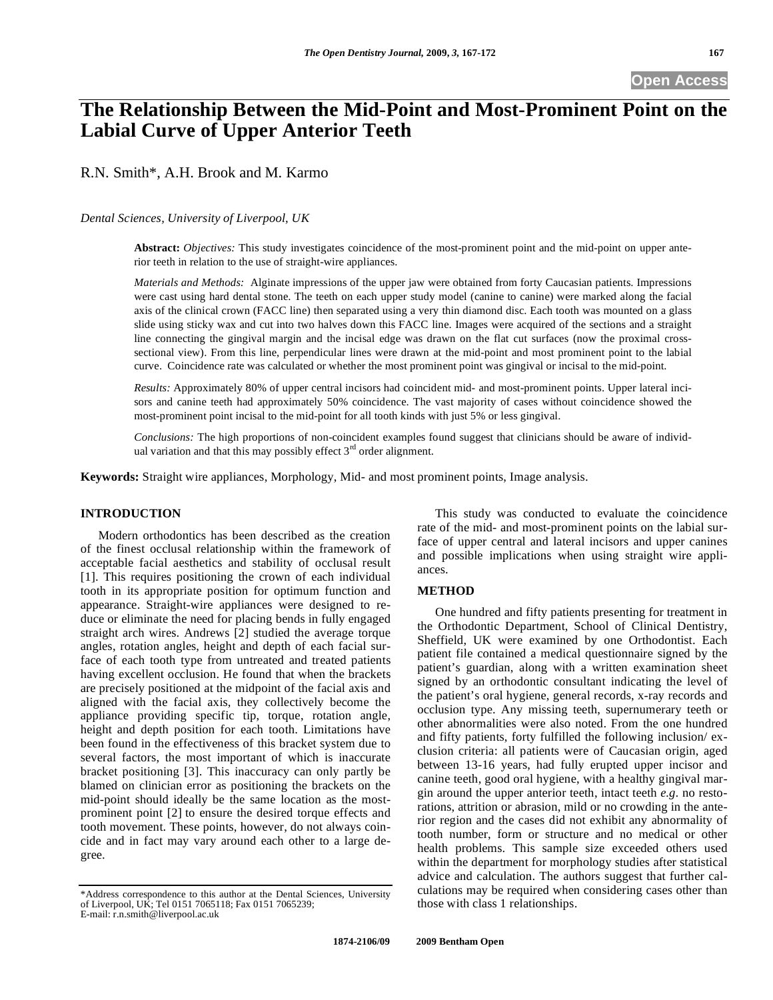# **The Relationship Between the Mid-Point and Most-Prominent Point on the Labial Curve of Upper Anterior Teeth**

R.N. Smith\*, A.H. Brook and M. Karmo

#### *Dental Sciences, University of Liverpool, UK*

**Abstract:** *Objectives:* This study investigates coincidence of the most-prominent point and the mid-point on upper anterior teeth in relation to the use of straight-wire appliances.

*Materials and Methods:* Alginate impressions of the upper jaw were obtained from forty Caucasian patients. Impressions were cast using hard dental stone. The teeth on each upper study model (canine to canine) were marked along the facial axis of the clinical crown (FACC line) then separated using a very thin diamond disc. Each tooth was mounted on a glass slide using sticky wax and cut into two halves down this FACC line. Images were acquired of the sections and a straight line connecting the gingival margin and the incisal edge was drawn on the flat cut surfaces (now the proximal crosssectional view). From this line, perpendicular lines were drawn at the mid-point and most prominent point to the labial curve. Coincidence rate was calculated or whether the most prominent point was gingival or incisal to the mid-point.

*Results:* Approximately 80% of upper central incisors had coincident mid- and most-prominent points. Upper lateral incisors and canine teeth had approximately 50% coincidence. The vast majority of cases without coincidence showed the most-prominent point incisal to the mid-point for all tooth kinds with just 5% or less gingival.

*Conclusions:* The high proportions of non-coincident examples found suggest that clinicians should be aware of individual variation and that this may possibly effect  $3<sup>rd</sup>$  order alignment.

**Keywords:** Straight wire appliances, Morphology, Mid- and most prominent points, Image analysis.

## **INTRODUCTION**

Modern orthodontics has been described as the creation of the finest occlusal relationship within the framework of acceptable facial aesthetics and stability of occlusal result [1]. This requires positioning the crown of each individual tooth in its appropriate position for optimum function and appearance. Straight-wire appliances were designed to reduce or eliminate the need for placing bends in fully engaged straight arch wires. Andrews [2] studied the average torque angles, rotation angles, height and depth of each facial surface of each tooth type from untreated and treated patients having excellent occlusion. He found that when the brackets are precisely positioned at the midpoint of the facial axis and aligned with the facial axis, they collectively become the appliance providing specific tip, torque, rotation angle, height and depth position for each tooth. Limitations have been found in the effectiveness of this bracket system due to several factors, the most important of which is inaccurate bracket positioning [3]. This inaccuracy can only partly be blamed on clinician error as positioning the brackets on the mid-point should ideally be the same location as the mostprominent point [2] to ensure the desired torque effects and tooth movement. These points, however, do not always coincide and in fact may vary around each other to a large degree.

This study was conducted to evaluate the coincidence rate of the mid- and most-prominent points on the labial surface of upper central and lateral incisors and upper canines and possible implications when using straight wire appliances.

#### **METHOD**

One hundred and fifty patients presenting for treatment in the Orthodontic Department, School of Clinical Dentistry, Sheffield, UK were examined by one Orthodontist. Each patient file contained a medical questionnaire signed by the patient's guardian, along with a written examination sheet signed by an orthodontic consultant indicating the level of the patient's oral hygiene, general records, x-ray records and occlusion type. Any missing teeth, supernumerary teeth or other abnormalities were also noted. From the one hundred and fifty patients, forty fulfilled the following inclusion/ exclusion criteria: all patients were of Caucasian origin, aged between 13-16 years, had fully erupted upper incisor and canine teeth, good oral hygiene, with a healthy gingival margin around the upper anterior teeth, intact teeth *e.g.* no restorations, attrition or abrasion, mild or no crowding in the anterior region and the cases did not exhibit any abnormality of tooth number, form or structure and no medical or other health problems. This sample size exceeded others used within the department for morphology studies after statistical advice and calculation. The authors suggest that further calculations may be required when considering cases other than those with class 1 relationships.

<sup>\*</sup>Address correspondence to this author at the Dental Sciences, University of Liverpool, UK; Tel 0151 7065118; Fax 0151 7065239; E-mail: r.n.smith@liverpool.ac.uk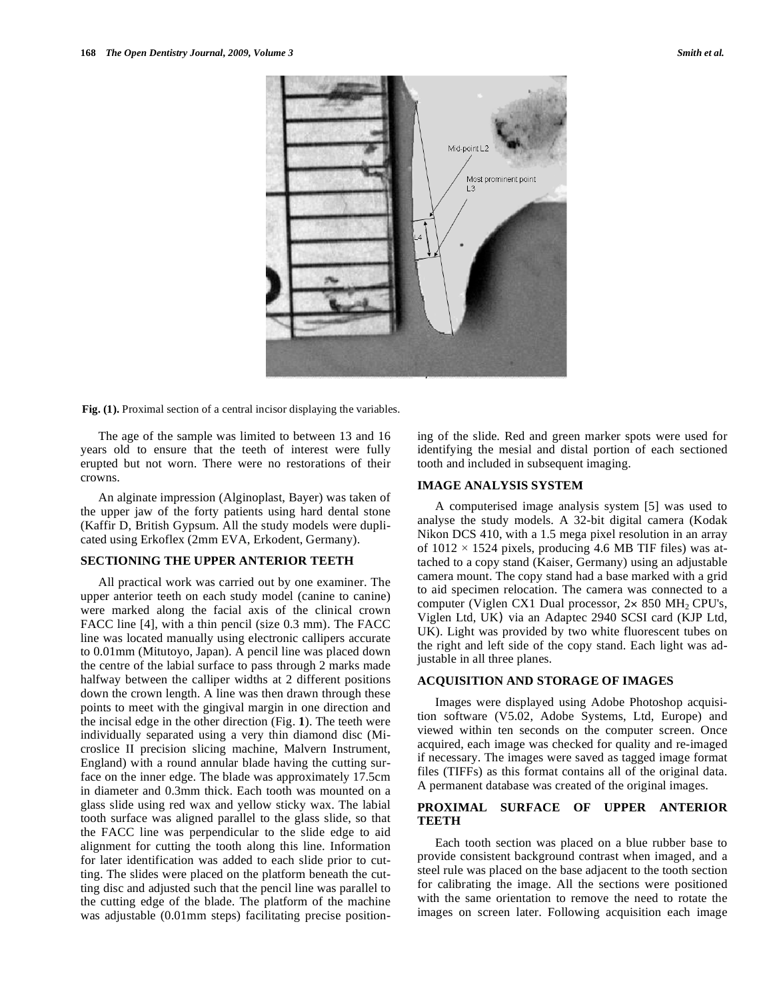

Fig. (1). Proximal section of a central incisor displaying the variables.

The age of the sample was limited to between 13 and 16 years old to ensure that the teeth of interest were fully erupted but not worn. There were no restorations of their crowns.

An alginate impression (Alginoplast, Bayer) was taken of the upper jaw of the forty patients using hard dental stone (Kaffir D, British Gypsum. All the study models were duplicated using Erkoflex (2mm EVA, Erkodent, Germany).

#### **SECTIONING THE UPPER ANTERIOR TEETH**

All practical work was carried out by one examiner. The upper anterior teeth on each study model (canine to canine) were marked along the facial axis of the clinical crown FACC line [4], with a thin pencil (size 0.3 mm). The FACC line was located manually using electronic callipers accurate to 0.01mm (Mitutoyo, Japan). A pencil line was placed down the centre of the labial surface to pass through 2 marks made halfway between the calliper widths at 2 different positions down the crown length. A line was then drawn through these points to meet with the gingival margin in one direction and the incisal edge in the other direction (Fig. **1**). The teeth were individually separated using a very thin diamond disc (Microslice II precision slicing machine, Malvern Instrument, England) with a round annular blade having the cutting surface on the inner edge. The blade was approximately 17.5cm in diameter and 0.3mm thick. Each tooth was mounted on a glass slide using red wax and yellow sticky wax. The labial tooth surface was aligned parallel to the glass slide, so that the FACC line was perpendicular to the slide edge to aid alignment for cutting the tooth along this line. Information for later identification was added to each slide prior to cutting. The slides were placed on the platform beneath the cutting disc and adjusted such that the pencil line was parallel to the cutting edge of the blade. The platform of the machine was adjustable (0.01mm steps) facilitating precise positioning of the slide. Red and green marker spots were used for identifying the mesial and distal portion of each sectioned tooth and included in subsequent imaging.

#### **IMAGE ANALYSIS SYSTEM**

A computerised image analysis system [5] was used to analyse the study models. A 32-bit digital camera (Kodak Nikon DCS 410, with a 1.5 mega pixel resolution in an array of  $1012 \times 1524$  pixels, producing 4.6 MB TIF files) was attached to a copy stand (Kaiser, Germany) using an adjustable camera mount. The copy stand had a base marked with a grid to aid specimen relocation. The camera was connected to a computer (Viglen CX1 Dual processor,  $2 \times 850$  MH<sub>2</sub> CPU's, Viglen Ltd, UK) via an Adaptec 2940 SCSI card (KJP Ltd, UK). Light was provided by two white fluorescent tubes on the right and left side of the copy stand. Each light was adjustable in all three planes.

#### **ACQUISITION AND STORAGE OF IMAGES**

Images were displayed using Adobe Photoshop acquisition software (V5.02, Adobe Systems, Ltd, Europe) and viewed within ten seconds on the computer screen. Once acquired, each image was checked for quality and re-imaged if necessary. The images were saved as tagged image format files (TIFFs) as this format contains all of the original data. A permanent database was created of the original images.

#### **PROXIMAL SURFACE OF UPPER ANTERIOR TEETH**

Each tooth section was placed on a blue rubber base to provide consistent background contrast when imaged, and a steel rule was placed on the base adjacent to the tooth section for calibrating the image. All the sections were positioned with the same orientation to remove the need to rotate the images on screen later. Following acquisition each image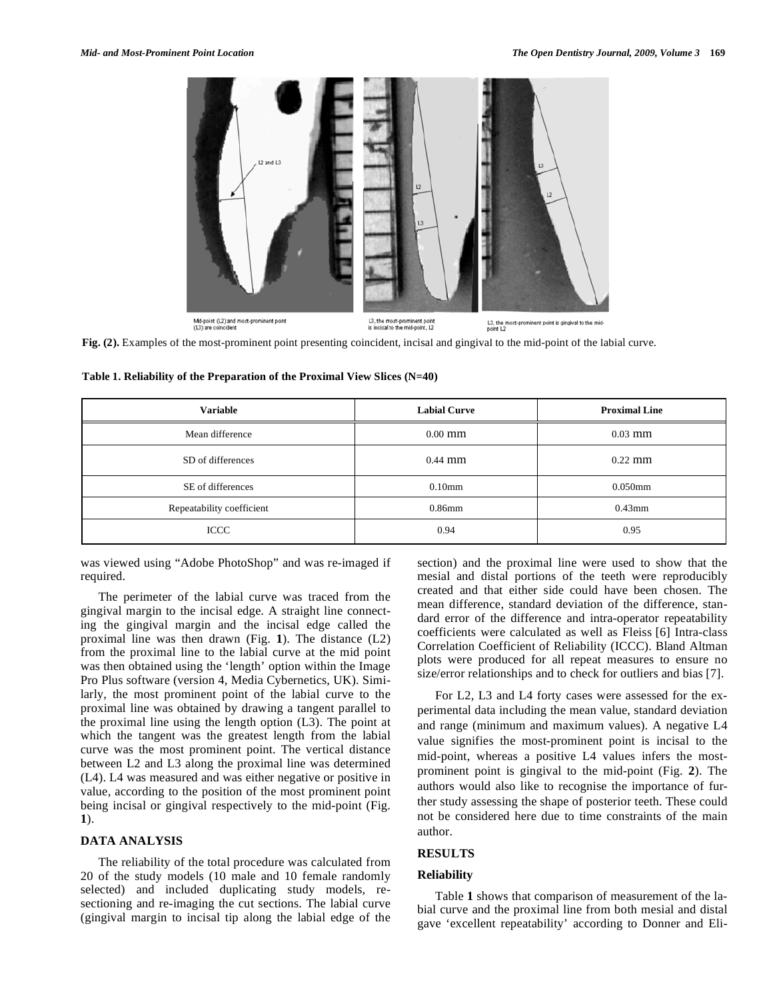

**Fig. (2).** Examples of the most-prominent point presenting coincident, incisal and gingival to the mid-point of the labial curve.

|  | Table 1. Reliability of the Preparation of the Proximal View Slices (N=40) |
|--|----------------------------------------------------------------------------|
|  |                                                                            |

| <b>Variable</b>           | <b>Labial Curve</b> | <b>Proximal Line</b> |
|---------------------------|---------------------|----------------------|
| Mean difference           | $0.00$ mm           | $0.03$ mm            |
| SD of differences         | $0.44$ mm           | $0.22$ mm            |
| SE of differences         | $0.10$ mm           | $0.050$ mm           |
| Repeatability coefficient | $0.86$ mm           | $0.43$ mm            |
| <b>ICCC</b>               | 0.94                | 0.95                 |

was viewed using "Adobe PhotoShop" and was re-imaged if required.

The perimeter of the labial curve was traced from the gingival margin to the incisal edge. A straight line connecting the gingival margin and the incisal edge called the proximal line was then drawn (Fig. **1**). The distance (L2) from the proximal line to the labial curve at the mid point was then obtained using the 'length' option within the Image Pro Plus software (version 4, Media Cybernetics, UK). Similarly, the most prominent point of the labial curve to the proximal line was obtained by drawing a tangent parallel to the proximal line using the length option (L3). The point at which the tangent was the greatest length from the labial curve was the most prominent point. The vertical distance between L2 and L3 along the proximal line was determined (L4). L4 was measured and was either negative or positive in value, according to the position of the most prominent point being incisal or gingival respectively to the mid-point (Fig. **1**).

#### **DATA ANALYSIS**

The reliability of the total procedure was calculated from 20 of the study models (10 male and 10 female randomly selected) and included duplicating study models, resectioning and re-imaging the cut sections. The labial curve (gingival margin to incisal tip along the labial edge of the section) and the proximal line were used to show that the mesial and distal portions of the teeth were reproducibly created and that either side could have been chosen. The mean difference, standard deviation of the difference, standard error of the difference and intra-operator repeatability coefficients were calculated as well as Fleiss [6] Intra-class Correlation Coefficient of Reliability (ICCC). Bland Altman plots were produced for all repeat measures to ensure no size/error relationships and to check for outliers and bias [7].

For L2, L3 and L4 forty cases were assessed for the experimental data including the mean value, standard deviation and range (minimum and maximum values). A negative L4 value signifies the most-prominent point is incisal to the mid-point, whereas a positive L4 values infers the mostprominent point is gingival to the mid-point (Fig. **2**). The authors would also like to recognise the importance of further study assessing the shape of posterior teeth. These could not be considered here due to time constraints of the main author.

# **RESULTS**

# **Reliability**

Table **1** shows that comparison of measurement of the labial curve and the proximal line from both mesial and distal gave 'excellent repeatability' according to Donner and Eli-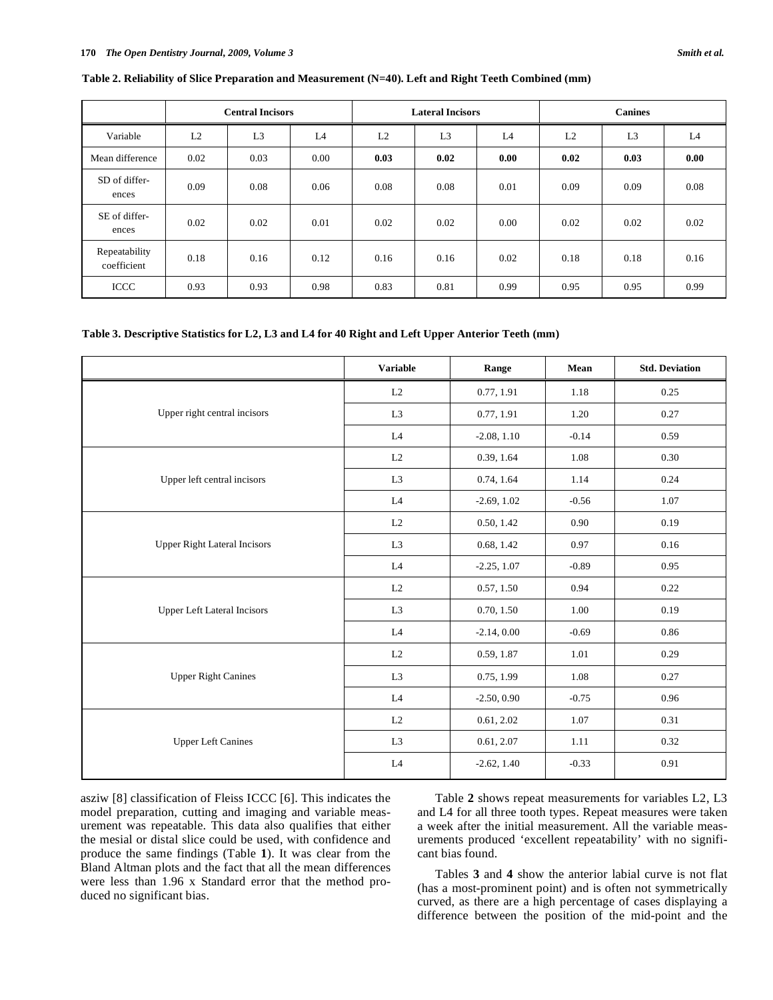|                              |      | <b>Central Incisors</b> |                | <b>Lateral Incisors</b> |                | <b>Canines</b> |      |                |      |
|------------------------------|------|-------------------------|----------------|-------------------------|----------------|----------------|------|----------------|------|
| Variable                     | L2   | L <sub>3</sub>          | L <sub>4</sub> | L2                      | L <sub>3</sub> | L4             | L2   | L <sub>3</sub> | L4   |
| Mean difference              | 0.02 | 0.03                    | 0.00           | 0.03                    | 0.02           | 0.00           | 0.02 | 0.03           | 0.00 |
| SD of differ-<br>ences       | 0.09 | 0.08                    | 0.06           | 0.08                    | 0.08           | 0.01           | 0.09 | 0.09           | 0.08 |
| SE of differ-<br>ences       | 0.02 | 0.02                    | 0.01           | 0.02                    | 0.02           | 0.00           | 0.02 | 0.02           | 0.02 |
| Repeatability<br>coefficient | 0.18 | 0.16                    | 0.12           | 0.16                    | 0.16           | 0.02           | 0.18 | 0.18           | 0.16 |
| ICCC                         | 0.93 | 0.93                    | 0.98           | 0.83                    | 0.81           | 0.99           | 0.95 | 0.95           | 0.99 |

**Table 2. Reliability of Slice Preparation and Measurement (N=40). Left and Right Teeth Combined (mm)** 

#### **Table 3. Descriptive Statistics for L2, L3 and L4 for 40 Right and Left Upper Anterior Teeth (mm)**

|                                     | <b>Variable</b>                                                                                                                                                                                                                                                                                                                                                                                                                                                                                                                                                               | Range         | Mean    | <b>Std. Deviation</b> |
|-------------------------------------|-------------------------------------------------------------------------------------------------------------------------------------------------------------------------------------------------------------------------------------------------------------------------------------------------------------------------------------------------------------------------------------------------------------------------------------------------------------------------------------------------------------------------------------------------------------------------------|---------------|---------|-----------------------|
|                                     | L2                                                                                                                                                                                                                                                                                                                                                                                                                                                                                                                                                                            | 0.77, 1.91    | 1.18    | 0.25                  |
| Upper right central incisors        | L <sub>3</sub>                                                                                                                                                                                                                                                                                                                                                                                                                                                                                                                                                                | 0.77, 1.91    | 1.20    | 0.27                  |
|                                     | $\mathbf{L}4$<br>$-2.08, 1.10$<br>$-0.14$<br>0.39, 1.64<br>L2<br>1.08<br>L <sub>3</sub><br>0.74, 1.64<br>1.14<br>$\mathbf{L}4$<br>$-2.69, 1.02$<br>$-0.56$<br>0.90<br>L2<br>0.50, 1.42<br>L <sub>3</sub><br>0.68, 1.42<br>0.97<br>$\mathbf{L}4$<br>$-2.25, 1.07$<br>$-0.89$<br>$\rm L2$<br>0.57, 1.50<br>0.94<br>L <sub>3</sub><br>0.70, 1.50<br>1.00<br>L4<br>$-2.14, 0.00$<br>$-0.69$<br>$\rm L2$<br>1.01<br>0.59, 1.87<br>L <sub>3</sub><br>0.75, 1.99<br>1.08<br>L4<br>$-2.50, 0.90$<br>$-0.75$<br>$\rm L2$<br>0.61, 2.02<br>1.07<br>L <sub>3</sub><br>0.61, 2.07<br>1.11 | 0.59          |         |                       |
|                                     |                                                                                                                                                                                                                                                                                                                                                                                                                                                                                                                                                                               |               |         | 0.30                  |
| Upper left central incisors         |                                                                                                                                                                                                                                                                                                                                                                                                                                                                                                                                                                               |               |         | 0.24                  |
|                                     |                                                                                                                                                                                                                                                                                                                                                                                                                                                                                                                                                                               |               | 1.07    |                       |
|                                     |                                                                                                                                                                                                                                                                                                                                                                                                                                                                                                                                                                               |               |         | 0.19                  |
| <b>Upper Right Lateral Incisors</b> |                                                                                                                                                                                                                                                                                                                                                                                                                                                                                                                                                                               |               |         | 0.16                  |
|                                     |                                                                                                                                                                                                                                                                                                                                                                                                                                                                                                                                                                               |               | 0.95    |                       |
|                                     |                                                                                                                                                                                                                                                                                                                                                                                                                                                                                                                                                                               |               | $-0.33$ | 0.22                  |
| <b>Upper Left Lateral Incisors</b>  |                                                                                                                                                                                                                                                                                                                                                                                                                                                                                                                                                                               |               |         | 0.19                  |
|                                     |                                                                                                                                                                                                                                                                                                                                                                                                                                                                                                                                                                               |               |         | 0.86                  |
|                                     |                                                                                                                                                                                                                                                                                                                                                                                                                                                                                                                                                                               |               |         | 0.29                  |
| <b>Upper Right Canines</b>          |                                                                                                                                                                                                                                                                                                                                                                                                                                                                                                                                                                               |               |         | 0.27                  |
|                                     |                                                                                                                                                                                                                                                                                                                                                                                                                                                                                                                                                                               |               |         | 0.96                  |
|                                     |                                                                                                                                                                                                                                                                                                                                                                                                                                                                                                                                                                               |               |         | 0.31                  |
| <b>Upper Left Canines</b>           |                                                                                                                                                                                                                                                                                                                                                                                                                                                                                                                                                                               |               |         | 0.32                  |
|                                     | $\mathbf{L}4$                                                                                                                                                                                                                                                                                                                                                                                                                                                                                                                                                                 | $-2.62, 1.40$ |         | 0.91                  |

asziw [8] classification of Fleiss ICCC [6]. This indicates the model preparation, cutting and imaging and variable measurement was repeatable. This data also qualifies that either the mesial or distal slice could be used, with confidence and produce the same findings (Table **1**). It was clear from the Bland Altman plots and the fact that all the mean differences were less than 1.96 x Standard error that the method produced no significant bias.

Table **2** shows repeat measurements for variables L2, L3 and L4 for all three tooth types. Repeat measures were taken a week after the initial measurement. All the variable measurements produced 'excellent repeatability' with no significant bias found.

Tables **3** and **4** show the anterior labial curve is not flat (has a most-prominent point) and is often not symmetrically curved, as there are a high percentage of cases displaying a difference between the position of the mid-point and the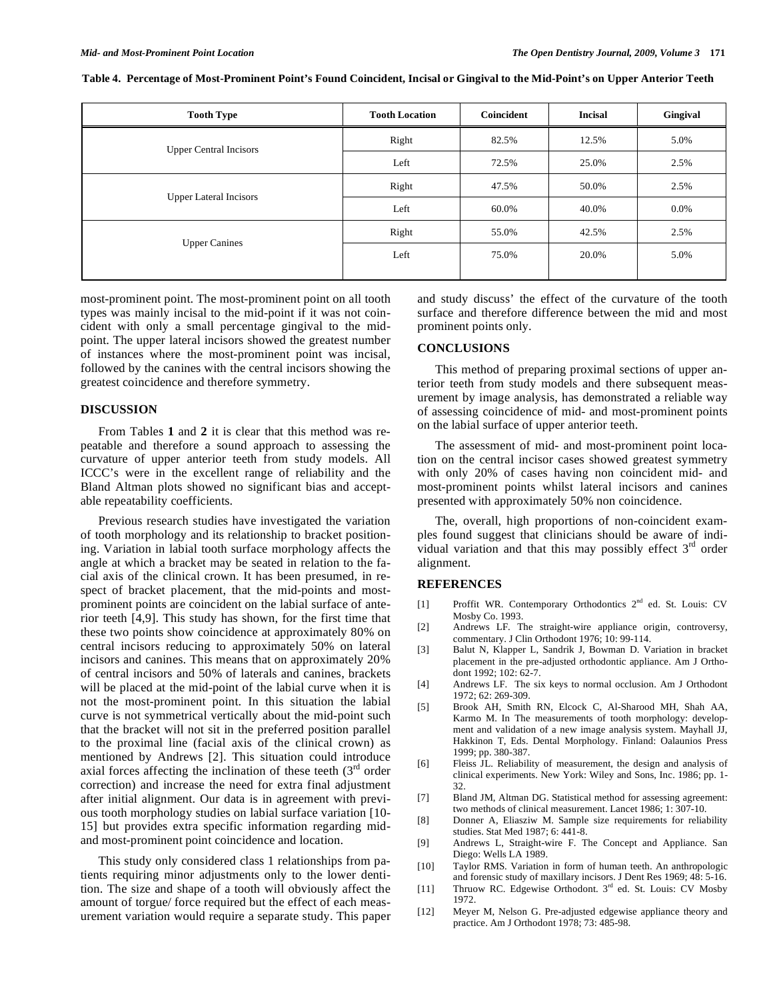| <b>Tooth Type</b>             | <b>Tooth Location</b> | Coincident | <b>Incisal</b> | Gingival |
|-------------------------------|-----------------------|------------|----------------|----------|
| <b>Upper Central Incisors</b> | Right                 | 82.5%      | 12.5%          | 5.0%     |
|                               | Left                  | 72.5%      | 25.0%          | 2.5%     |
| <b>Upper Lateral Incisors</b> | Right                 | 47.5%      | 50.0%          | 2.5%     |
|                               | Left                  | 60.0%      | 40.0%          | $0.0\%$  |
| <b>Upper Canines</b>          | Right                 | 55.0%      | 42.5%          | 2.5%     |
|                               | Left                  | 75.0%      | 20.0%          | 5.0%     |
|                               |                       |            |                |          |

**Table 4. Percentage of Most-Prominent Point's Found Coincident, Incisal or Gingival to the Mid-Point's on Upper Anterior Teeth**

most-prominent point. The most-prominent point on all tooth types was mainly incisal to the mid-point if it was not coincident with only a small percentage gingival to the midpoint. The upper lateral incisors showed the greatest number of instances where the most-prominent point was incisal, followed by the canines with the central incisors showing the greatest coincidence and therefore symmetry.

#### **DISCUSSION**

From Tables **1** and **2** it is clear that this method was repeatable and therefore a sound approach to assessing the curvature of upper anterior teeth from study models. All ICCC's were in the excellent range of reliability and the Bland Altman plots showed no significant bias and acceptable repeatability coefficients.

Previous research studies have investigated the variation of tooth morphology and its relationship to bracket positioning. Variation in labial tooth surface morphology affects the angle at which a bracket may be seated in relation to the facial axis of the clinical crown. It has been presumed, in respect of bracket placement, that the mid-points and mostprominent points are coincident on the labial surface of anterior teeth [4,9]. This study has shown, for the first time that these two points show coincidence at approximately 80% on central incisors reducing to approximately 50% on lateral incisors and canines. This means that on approximately 20% of central incisors and 50% of laterals and canines, brackets will be placed at the mid-point of the labial curve when it is not the most-prominent point. In this situation the labial curve is not symmetrical vertically about the mid-point such that the bracket will not sit in the preferred position parallel to the proximal line (facial axis of the clinical crown) as mentioned by Andrews [2]. This situation could introduce axial forces affecting the inclination of these teeth  $(3<sup>rd</sup>$  order correction) and increase the need for extra final adjustment after initial alignment. Our data is in agreement with previous tooth morphology studies on labial surface variation [10- 15] but provides extra specific information regarding midand most-prominent point coincidence and location.

This study only considered class 1 relationships from patients requiring minor adjustments only to the lower dentition. The size and shape of a tooth will obviously affect the amount of torgue/ force required but the effect of each measurement variation would require a separate study. This paper and study discuss' the effect of the curvature of the tooth surface and therefore difference between the mid and most prominent points only.

### **CONCLUSIONS**

This method of preparing proximal sections of upper anterior teeth from study models and there subsequent measurement by image analysis, has demonstrated a reliable way of assessing coincidence of mid- and most-prominent points on the labial surface of upper anterior teeth.

The assessment of mid- and most-prominent point location on the central incisor cases showed greatest symmetry with only 20% of cases having non coincident mid- and most-prominent points whilst lateral incisors and canines presented with approximately 50% non coincidence.

The, overall, high proportions of non-coincident examples found suggest that clinicians should be aware of individual variation and that this may possibly effect  $3<sup>rd</sup>$  order alignment.

#### **REFERENCES**

- [1] Proffit WR. Contemporary Orthodontics 2<sup>nd</sup> ed. St. Louis: CV Mosby Co. 1993.
- [2] Andrews LF. The straight-wire appliance origin, controversy, commentary. J Clin Orthodont 1976; 10: 99-114.
- [3] Balut N, Klapper L, Sandrik J, Bowman D. Variation in bracket placement in the pre-adjusted orthodontic appliance. Am J Orthodont 1992; 102: 62-7.
- [4] Andrews LF. The six keys to normal occlusion. Am J Orthodont 1972; 62: 269-309.
- [5] Brook AH, Smith RN, Elcock C, Al-Sharood MH, Shah AA, Karmo M. In The measurements of tooth morphology: development and validation of a new image analysis system. Mayhall JJ, Hakkinon T, Eds. Dental Morphology. Finland: Oalaunios Press 1999; pp. 380-387.
- [6] Fleiss JL. Reliability of measurement, the design and analysis of clinical experiments. New York: Wiley and Sons, Inc. 1986; pp. 1- 32.
- [7] Bland JM, Altman DG. Statistical method for assessing agreement: two methods of clinical measurement. Lancet 1986; 1: 307-10.
- [8] Donner A, Eliasziw M. Sample size requirements for reliability studies. Stat Med 1987; 6: 441-8.
- [9] Andrews L, Straight-wire F. The Concept and Appliance*.* San Diego: Wells LA 1989.
- [10] Taylor RMS. Variation in form of human teeth. An anthropologic and forensic study of maxillary incisors. J Dent Res 1969; 48: 5-16.
- [11] Thruow RC. Edgewise Orthodont. 3<sup>rd</sup> ed. St. Louis: CV Mosby 1972.
- [12] Meyer M, Nelson G. Pre-adjusted edgewise appliance theory and practice. Am J Orthodont 1978; 73: 485-98.